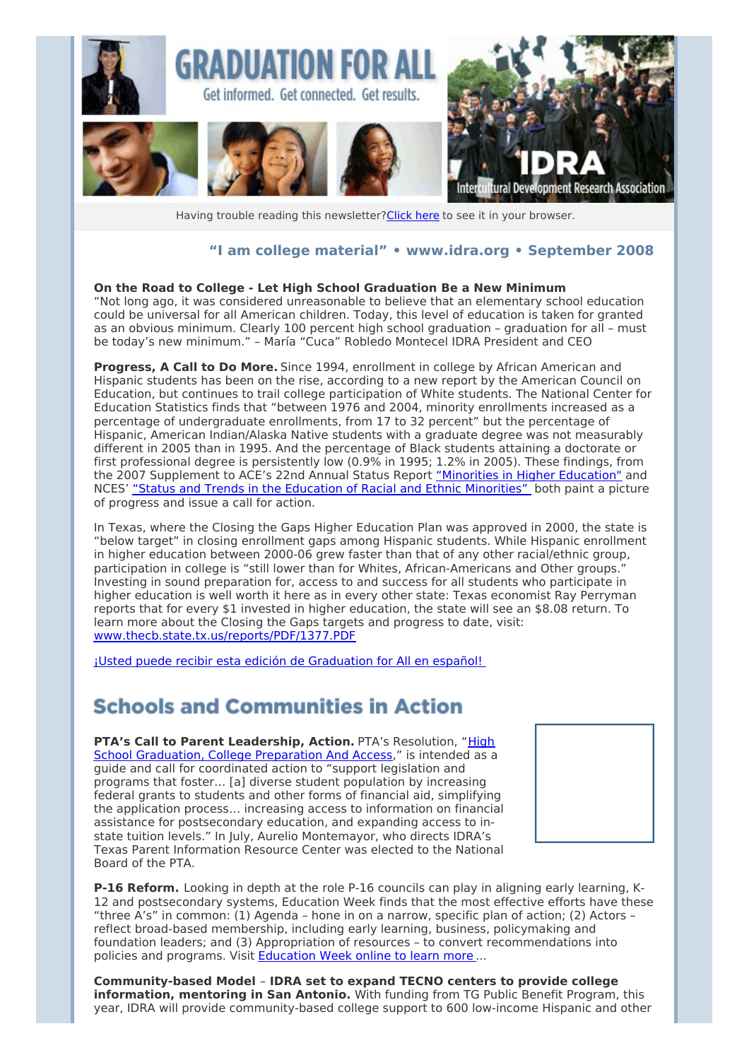

Having trouble reading this newsletter? Click here to see it in your browser.

#### **"I am college material" • [www.idra.org](http://idra.createsend1.com/t/1/l/vildl/l/www.idra.org) • September 2008**

#### **On the Road to College - Let High School Graduation Be a New Minimum**

"Not long ago, it was considered unreasonable to believe that an elementary school education could be universal for all American children. Today, this level of education is taken for granted as an obvious minimum. Clearly 100 percent high school graduation – graduation for all – must be today's new minimum." – María "Cuca" Robledo Montecel IDRA President and CEO

**Progress, A Call to Do More.** Since 1994, enrollment in college by African American and Hispanic students has been on the rise, according to a new report by the American Council on Education, but continues to trail college participation of White students. The National Center for Education Statistics finds that "between 1976 and 2004, minority enrollments increased as a percentage of undergraduate enrollments, from 17 to 32 percent" but the percentage of Hispanic, American Indian/Alaska Native students with a graduate degree was not measurably different in 2005 than in 1995. And the percentage of Black students attaining a doctorate or first professional degree is persistently low (0.9% in 1995; 1.2% in 2005). These findings, from the 2007 Supplement to ACE's 22nd Annual Status Report ["Minorities](http://idra.createsend1.com/t/1/l/vildl/l/www.acenet.edu/AM/Template.cfm?Section=CAREE&Template=/CM/ContentDisplay.cfm&ContentID=23716) in Higher Education" and NCES' "Status and Trends in the Education of Racial and Ethnic [Minorities"](http://idra.createsend1.com/t/1/l/vildl/l/nces.ed.gov/pubs2007/minoritytrends/ind_7_26.asp) both paint a picture of progress and issue a call for action.

In Texas, where the Closing the Gaps Higher Education Plan was approved in 2000, the state is "below target" in closing enrollment gaps among Hispanic students. While Hispanic enrollment in higher education between 2000-06 grew faster than that of any other racial/ethnic group, participation in college is "still lower than for Whites, African-Americans and Other groups." Investing in sound preparation for, access to and success for all students who participate in higher education is well worth it here as in every other state: Texas economist Ray Perryman reports that for every \$1 invested in higher education, the state will see an \$8.08 return. To learn more about the Closing the Gaps targets and progress to date, visit: [www.thecb.state.tx.us/reports/PDF/1377.PDF](http://idra.createsend1.com/t/1/l/vildl/l/www.thecb.state.tx.us/reports/PDF/1377.PDF)

¡Usted puede recibir esta edición de [Graduation](http://idra.createsend1.com/t/1/l/vildl/l/idra.createsend.com/viewEmail.aspx?cID=6830B42688E5E78F&sID=59F6F44BDEEB2530&dID=5CB9CB5A1CE688CE) for All en español!

#### **Schools and Communities in Action**

**PTA's Call to Parent [Leadership,](http://idra.createsend1.com/t/1/l/vildl/l/www.pta.org/2005.htm) Action.** PTA's Resolution, "High School Graduation, College Preparation And Access," is intended as a guide and call for coordinated action to "support legislation and programs that foster… [a] diverse student population by increasing federal grants to students and other forms of financial aid, simplifying the application process… increasing access to information on financial assistance for postsecondary education, and expanding access to instate tuition levels." In July, Aurelio Montemayor, who directs IDRA's Texas Parent Information Resource Center was elected to the National Board of the PTA.



**P-16 Reform.** Looking in depth at the role P-16 councils can play in aligning early learning, K-12 and postsecondary systems, Education Week finds that the most effective efforts have these "three A's" in common: (1) Agenda – hone in on a narrow, specific plan of action; (2) Actors – reflect broad-based membership, including early learning, business, policymaking and foundation leaders; and (3) Appropriation of resources – to convert recommendations into policies and programs. Visit **[Education](http://idra.createsend1.com/t/1/l/vildl/l/www.edweek.org/ew/articles/2008/06/05/40dounay.h27.html) Week online to learn more**...

**Community-based Model** – **IDRA set to expand TECNO centers to provide college information, mentoring in San Antonio.** With funding from TG Public Benefit Program, this year, IDRA will provide community-based college support to 600 low-income Hispanic and other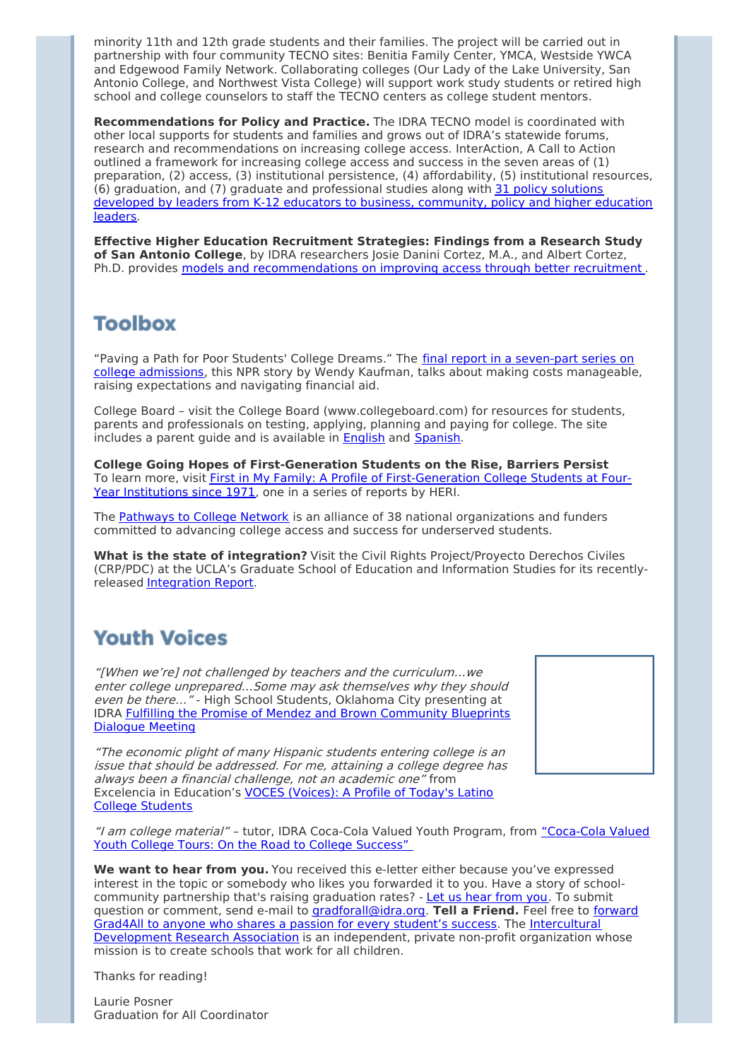minority 11th and 12th grade students and their families. The project will be carried out in partnership with four community TECNO sites: Benitia Family Center, YMCA, Westside YWCA and Edgewood Family Network. Collaborating colleges (Our Lady of the Lake University, San Antonio College, and Northwest Vista College) will support work study students or retired high school and college counselors to staff the TECNO centers as college student mentors.

**Recommendations for Policy and Practice.** The IDRA TECNO model is coordinated with other local supports for students and families and grows out of IDRA's statewide forums, research and recommendations on increasing college access. InterAction, A Call to Action outlined a framework for increasing college access and success in the seven areas of (1) preparation, (2) access, (3) institutional persistence, (4) affordability, (5) institutional resources, (6) graduation, and (7) graduate and [professional](http://idra.createsend1.com/t/1/l/vildl/l/www.idra.org/images/stories/InterActionPolicySolutions.pdf) studies along with 31 policy solutions developed by leaders from K-12 educators to business, community, policy and higher education leaders.

**Effective Higher Education Recruitment Strategies: Findings from a Research Study of San Antonio College**, by IDRA researchers Josie Danini Cortez, M.A., and Albert Cortez, Ph.D. provides models and [recommendations](http://idra.createsend1.com/t/1/l/vildl/l/www.idra.org/IDRA_Newsletter/August_2004_Self_Renewing_Schools_Access/Effective_Higher_Education_Recruitment_Strategies/) on improving access through better recruitment .

## **Toolbox**

"Paving a Path for Poor Students' College Dreams." The final report in a seven-part series on college [admissions,](http://idra.createsend1.com/t/1/l/vildl/l/www.npr.org/templates/story/story.php?storyId=7537888) this NPR story by Wendy Kaufman, talks about making costs manageable, raising expectations and navigating financial aid.

College Board – visit the College Board (www.collegeboard.com) for resources for students, parents and professionals on testing, applying, planning and paying for college. The site includes a parent guide and is available in [English](http://idra.createsend1.com/t/1/l/vildl/l/www.collegeboard.com/parents/) and [Spanish](http://idra.createsend1.com/t/1/l/vildl/l/www.collegeboard.com/padres/index.html).

**College Going Hopes of First-Generation Students on the Rise, Barriers Persist** To learn more, visit First in My Family: A Profile of [First-Generation](http://idra.createsend1.com/t/1/l/vildl/l/www.gseis.ucla.edu/heri/PDFs/pubs/briefs/FirstGenResearchBrief.pdf) College Students at Four-Year Institutions since 1971, one in a series of reports by HERI.

The [Pathways](http://idra.createsend1.com/t/1/l/vildl/l/www.pathwaystocollege.net/index.html) to College Network is an alliance of 38 national organizations and funders committed to advancing college access and success for underserved students.

**What is the state of integration?** Visit the Civil Rights Project/Proyecto Derechos Civiles (CRP/PDC) at the UCLA's Graduate School of Education and Information Studies for its recentlyreleased [Integration](http://idra.createsend1.com/t/1/l/vildl/l/theintegrationreport.wordpress.com) Report.

# **Youth Voices**

"[When we're] not challenged by teachers and the curriculum…we enter college unprepared…Some may ask themselves why they should even be there..." - High School Students, Oklahoma City presenting at IDRA Fulfilling the Promise of Mendez and Brown [Community](http://idra.createsend1.com/t/1/l/vildl/l/blueprintsforaction.idra.org/file.php/1/Oklahoma_Youth_Voices_0001.wmv) Blueprints Dialogue Meeting

"The economic plight of many Hispanic students entering college is an issue that should be addressed. For me, attaining <sup>a</sup> college degree has always been <sup>a</sup> financial challenge, not an academic one" from Excelencia in [Education's](http://idra.createsend1.com/t/1/l/vildl/l/www.edexcelencia.org/programs/voces/voces.asp) VOCES (Voices): A Profile of Today's Latino College Students



"I am college material" – tutor, IDRA Coca-Cola Valued Youth Program, from ["Coca-Cola](http://idra.createsend1.com/t/1/l/vildl/l/www.idra.org/IDRA_Newsletters/September_2006_Student_Success/Coca-Cola_Valued_Youth_College_Tours/) Valued Youth College Tours: On the Road to College Success"

**We want to hear from you.** You received this e-letter either because you've expressed interest in the topic or somebody who likes you forwarded it to you. Have a story of schoolcommunity partnership that's raising graduation rates? - Let us hear [from](http://idra.createsend1.com/t/1/l/vildl/l/gradforall@idra.org) you. To submit question or comment, send e-mail to [gradforall@idra.org.](http://idra.createsend1.com/t/1/l/vildl/l/idra.forward-email.com/?r.l.vildl.fa8b08a4) **Tell a Friend.** Feel free to forward Grad4All to anyone who shares a passion for every student's success. The [Intercultural](http://idra.createsend1.com/t/1/l/vildl/l/www.idra.org/) Development Research Association is an independent, private non-profit organization whose mission is to create schools that work for all children.

Thanks for reading!

Laurie Posner Graduation for All Coordinator